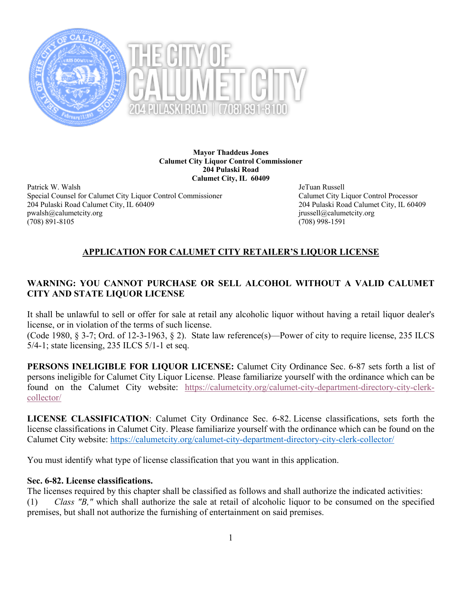

**Mayor Thaddeus Jones Calumet City Liquor Control Commissioner 204 Pulaski Road Calumet City, IL 60409**

Patrick W. Walsh JeTuan Russell Special Counsel for Calumet City Liquor Control Commissioner Calumet City Liquor Control Processor 204 Pulaski Road Calumet City, IL 60409 204 Pulaski Road Calumet City, IL 60409 pwalsh@calumetcity.org in the example of the example of the example of the example of the example of the example of the example of the example of the example of the example of the example of the example of the example of t (708) 891-8105 (708) 998-1591

# **APPLICATION FOR CALUMET CITY RETAILER'S LIQUOR LICENSE**

# **WARNING: YOU CANNOT PURCHASE OR SELL ALCOHOL WITHOUT A VALID CALUMET CITY AND STATE LIQUOR LICENSE**

It shall be unlawful to sell or offer for sale at retail any alcoholic liquor without having a retail liquor dealer's license, or in violation of the terms of such license.

(Code 1980, § 3-7; Ord. of 12-3-1963, § 2). State law reference(s)—Power of city to require license, 235 ILCS 5/4-1; state licensing, 235 ILCS 5/1-1 et seq.

**PERSONS INELIGIBLE FOR LIQUOR LICENSE:** Calumet City Ordinance Sec. 6-87 sets forth a list of persons ineligible for Calumet City Liquor License. Please familiarize yourself with the ordinance which can be found on the Calumet City website: https://calumetcity.org/calumet-city-department-directory-city-clerkcollector/

**LICENSE CLASSIFICATION**: Calumet City Ordinance Sec. 6-82. License classifications, sets forth the license classifications in Calumet City. Please familiarize yourself with the ordinance which can be found on the Calumet City website: https://calumetcity.org/calumet-city-department-directory-city-clerk-collector/

You must identify what type of license classification that you want in this application.

## **Sec. 6-82. License classifications.**

The licenses required by this chapter shall be classified as follows and shall authorize the indicated activities:

(1) *Class "B,"* which shall authorize the sale at retail of alcoholic liquor to be consumed on the specified premises, but shall not authorize the furnishing of entertainment on said premises.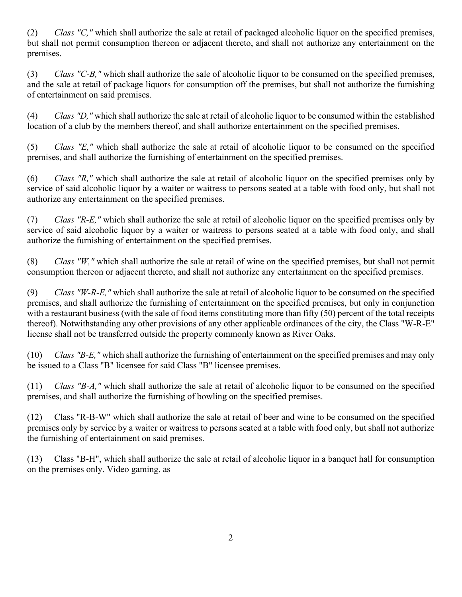(2) *Class "C,"* which shall authorize the sale at retail of packaged alcoholic liquor on the specified premises, but shall not permit consumption thereon or adjacent thereto, and shall not authorize any entertainment on the premises.

(3) *Class "C-B,"* which shall authorize the sale of alcoholic liquor to be consumed on the specified premises, and the sale at retail of package liquors for consumption off the premises, but shall not authorize the furnishing of entertainment on said premises.

(4) *Class "D,"* which shall authorize the sale at retail of alcoholic liquor to be consumed within the established location of a club by the members thereof, and shall authorize entertainment on the specified premises.

(5) *Class "E,"* which shall authorize the sale at retail of alcoholic liquor to be consumed on the specified premises, and shall authorize the furnishing of entertainment on the specified premises.

(6) *Class "R,"* which shall authorize the sale at retail of alcoholic liquor on the specified premises only by service of said alcoholic liquor by a waiter or waitress to persons seated at a table with food only, but shall not authorize any entertainment on the specified premises.

(7) *Class "R-E,"* which shall authorize the sale at retail of alcoholic liquor on the specified premises only by service of said alcoholic liquor by a waiter or waitress to persons seated at a table with food only, and shall authorize the furnishing of entertainment on the specified premises.

(8) *Class "W,"* which shall authorize the sale at retail of wine on the specified premises, but shall not permit consumption thereon or adjacent thereto, and shall not authorize any entertainment on the specified premises.

(9) *Class "W-R-E,"* which shall authorize the sale at retail of alcoholic liquor to be consumed on the specified premises, and shall authorize the furnishing of entertainment on the specified premises, but only in conjunction with a restaurant business (with the sale of food items constituting more than fifty (50) percent of the total receipts thereof). Notwithstanding any other provisions of any other applicable ordinances of the city, the Class "W-R-E" license shall not be transferred outside the property commonly known as River Oaks.

(10) *Class "B-E,"* which shall authorize the furnishing of entertainment on the specified premises and may only be issued to a Class "B" licensee for said Class "B" licensee premises.

(11) *Class "B-A,"* which shall authorize the sale at retail of alcoholic liquor to be consumed on the specified premises, and shall authorize the furnishing of bowling on the specified premises.

(12) Class "R-B-W" which shall authorize the sale at retail of beer and wine to be consumed on the specified premises only by service by a waiter or waitress to persons seated at a table with food only, but shall not authorize the furnishing of entertainment on said premises.

(13) Class "B-H", which shall authorize the sale at retail of alcoholic liquor in a banquet hall for consumption on the premises only. Video gaming, as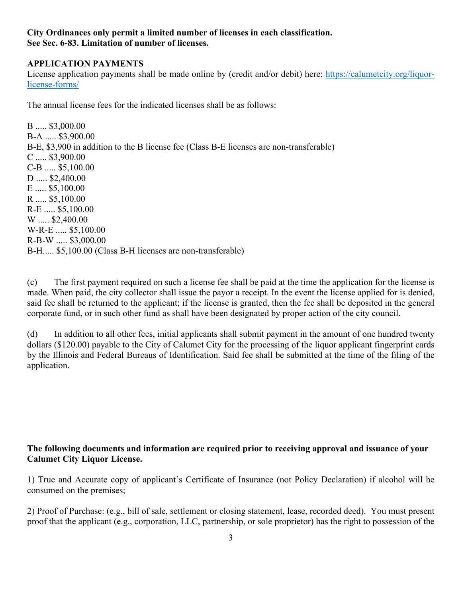#### **City Ordinances only permit a limited number of licenses in each classification. See Sec. 6-83. Limitation of number of licenses.**

## **APPLICATION PAYMENTS**

License application payments shall be made online by (credit and/or debit) here: https://calumetcity.org/liquorlicense-forms/

The annual license fees for the indicated licenses shall be as follows:

B ..... \$3,000.00 B-A ..... \$3,900.00 B-E, \$3,900 in addition to the B license fee (Class B-E licenses are non-transferable) C ..... \$3,900.00 C-B ..... \$5,100.00 D ..... \$2,400.00 E ..... \$5,100.00 R ..... \$5,100.00 R-E ..... \$5,100.00 W ..... \$2,400.00 W-R-E ..... \$5,100.00 R-B-W ..... \$3,000.00 B-H..... \$5,100.00 (Class B-H licenses are non-transferable)

(c) The first payment required on such a license fee shall be paid at the time the application for the license is made. When paid, the city collector shall issue the payor a receipt. In the event the license applied for is denied, said fee shall be returned to the applicant; if the license is granted, then the fee shall be deposited in the general corporate fund, or in such other fund as shall have been designated by proper action of the city council.

(d) In addition to all other fees, initial applicants shall submit payment in the amount of one hundred twenty dollars (\$120.00) payable to the City of Calumet City for the processing of the liquor applicant fingerprint cards by the Illinois and Federal Bureaus of Identification. Said fee shall be submitted at the time of the filing of the application.

## **The following documents and information are required prior to receiving approval and issuance of your Calumet City Liquor License.**

1) True and Accurate copy of applicant's Certificate of Insurance (not Policy Declaration) if alcohol will be consumed on the premises;

2) Proof of Purchase: (e.g., bill of sale, settlement or closing statement, lease, recorded deed). You must present proof that the applicant (e.g., corporation, LLC, partnership, or sole proprietor) has the right to possession of the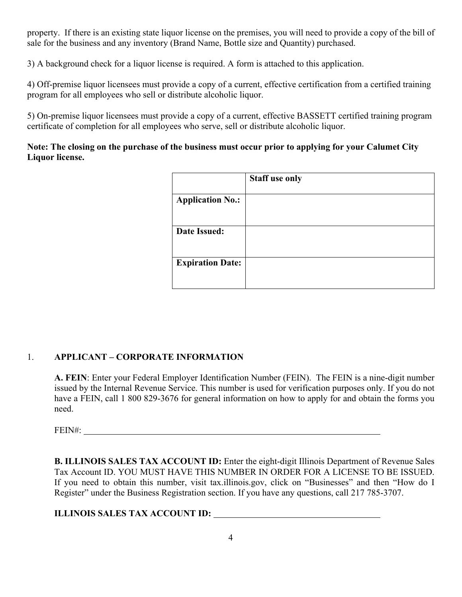property. If there is an existing state liquor license on the premises, you will need to provide a copy of the bill of sale for the business and any inventory (Brand Name, Bottle size and Quantity) purchased.

3) A background check for a liquor license is required. A form is attached to this application.

4) Off-premise liquor licensees must provide a copy of a current, effective certification from a certified training program for all employees who sell or distribute alcoholic liquor.

5) On-premise liquor licensees must provide a copy of a current, effective BASSETT certified training program certificate of completion for all employees who serve, sell or distribute alcoholic liquor.

# **Note: The closing on the purchase of the business must occur prior to applying for your Calumet City Liquor license.**

|                         | <b>Staff use only</b> |
|-------------------------|-----------------------|
| <b>Application No.:</b> |                       |
| <b>Date Issued:</b>     |                       |
| <b>Expiration Date:</b> |                       |

# 1. **APPLICANT – CORPORATE INFORMATION**

**A. FEIN**: Enter your Federal Employer Identification Number (FEIN). The FEIN is a nine-digit number issued by the Internal Revenue Service. This number is used for verification purposes only. If you do not have a FEIN, call 1 800 829-3676 for general information on how to apply for and obtain the forms you need.

FEIN#:

**B. ILLINOIS SALES TAX ACCOUNT ID:** Enter the eight-digit Illinois Department of Revenue Sales Tax Account ID. YOU MUST HAVE THIS NUMBER IN ORDER FOR A LICENSE TO BE ISSUED. If you need to obtain this number, visit tax.illinois.gov, click on "Businesses" and then "How do I Register" under the Business Registration section. If you have any questions, call 217 785-3707.

# **ILLINOIS SALES TAX ACCOUNT ID:**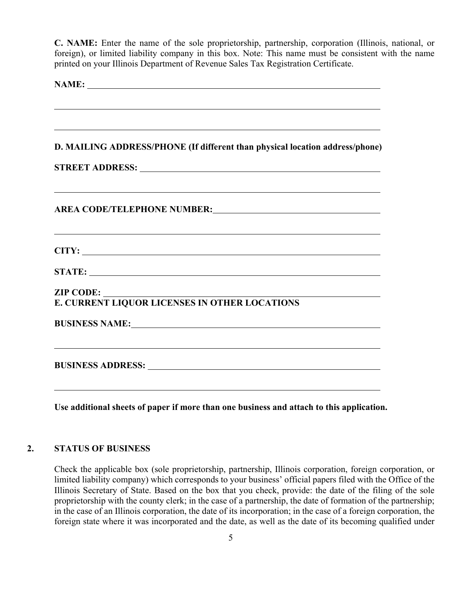**C. NAME:** Enter the name of the sole proprietorship, partnership, corporation (Illinois, national, or foreign), or limited liability company in this box. Note: This name must be consistent with the name printed on your Illinois Department of Revenue Sales Tax Registration Certificate.

**NAME:** 

**Use additional sheets of paper if more than one business and attach to this application.** 

### **2. STATUS OF BUSINESS**

Check the applicable box (sole proprietorship, partnership, Illinois corporation, foreign corporation, or limited liability company) which corresponds to your business' official papers filed with the Office of the Illinois Secretary of State. Based on the box that you check, provide: the date of the filing of the sole proprietorship with the county clerk; in the case of a partnership, the date of formation of the partnership; in the case of an Illinois corporation, the date of its incorporation; in the case of a foreign corporation, the foreign state where it was incorporated and the date, as well as the date of its becoming qualified under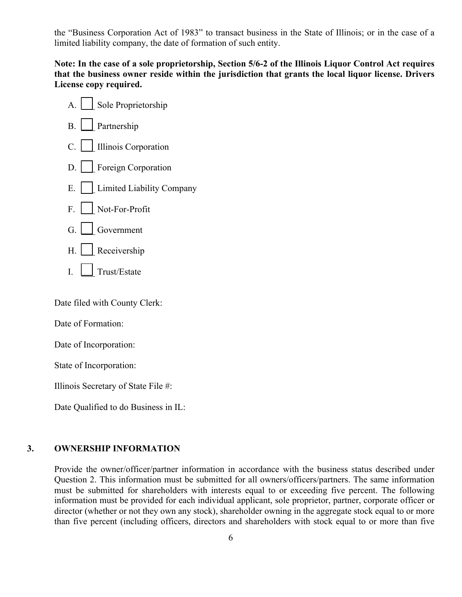the "Business Corporation Act of 1983" to transact business in the State of Illinois; or in the case of a limited liability company, the date of formation of such entity.

**Note: In the case of a sole proprietorship, Section 5/6-2 of the Illinois Liquor Control Act requires that the business owner reside within the jurisdiction that grants the local liquor license. Drivers License copy required.** 



Date filed with County Clerk:

Date of Formation:

Date of Incorporation:

State of Incorporation:

Illinois Secretary of State File #:

Date Qualified to do Business in IL:

#### **3. OWNERSHIP INFORMATION**

Provide the owner/officer/partner information in accordance with the business status described under Question 2. This information must be submitted for all owners/officers/partners. The same information must be submitted for shareholders with interests equal to or exceeding five percent. The following information must be provided for each individual applicant, sole proprietor, partner, corporate officer or director (whether or not they own any stock), shareholder owning in the aggregate stock equal to or more than five percent (including officers, directors and shareholders with stock equal to or more than five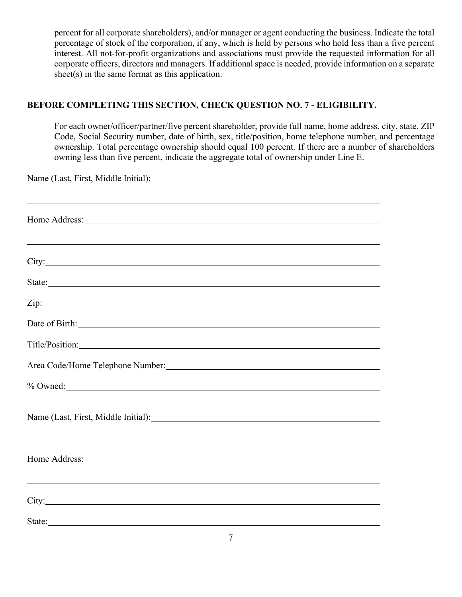percent for all corporate shareholders), and/or manager or agent conducting the business. Indicate the total percentage of stock of the corporation, if any, which is held by persons who hold less than a five percent interest. All not-for-profit organizations and associations must provide the requested information for all corporate officers, directors and managers. If additional space is needed, provide information on a separate sheet(s) in the same format as this application.

# **BEFORE COMPLETING THIS SECTION, CHECK QUESTION NO. 7 - ELIGIBILITY.**

For each owner/officer/partner/five percent shareholder, provide full name, home address, city, state, ZIP Code, Social Security number, date of birth, sex, title/position, home telephone number, and percentage ownership. Total percentage ownership should equal 100 percent. If there are a number of shareholders owning less than five percent, indicate the aggregate total of ownership under Line E.

| Name (Last, First, Middle Initial):                                                                                                                                                                                                  |
|--------------------------------------------------------------------------------------------------------------------------------------------------------------------------------------------------------------------------------------|
|                                                                                                                                                                                                                                      |
| Home Address: New York Changes and the Manual Changes of the Manual Changes and the Manual Changes of the Manual Changes and the Manual Changes of the Manual Changes of the Manual Changes of the Manual Changes of the Manua       |
|                                                                                                                                                                                                                                      |
| <u> 1999 - Johann Stoff, amerikansk politiker (d. 1989)</u>                                                                                                                                                                          |
|                                                                                                                                                                                                                                      |
| State: <u>the contract of the contract of the contract of the contract of the contract of the contract of the contract of the contract of the contract of the contract of the contract of the contract of the contract of the co</u> |
|                                                                                                                                                                                                                                      |
|                                                                                                                                                                                                                                      |
| Title/Position:                                                                                                                                                                                                                      |
| Area Code/Home Telephone Number: Manual Area Code/Home Telephone Number:                                                                                                                                                             |
| % Owned:                                                                                                                                                                                                                             |
|                                                                                                                                                                                                                                      |
| Name (Last, First, Middle Initial): Manual Assembly Contact and Assembly Contact and Assembly Contact and Assembly Contact and Assembly Contact and Assembly Contact and Assembly Contact and Assembly Contact and Assembly Co       |
| <u> 1999 - Jan Samuel Barbara, martin da shekara ta 1999 - An tsara tsara tsara tsara tsara tsara tsara tsara tsa</u>                                                                                                                |
| Home Address: No. 2016. The Manual Contract of the Manual Contract of the Manual Contract of the Manual Contract of the Manual Contract of the Manual Contract of the Manual Contract of the Manual Contract of the Manual Con       |
| <u> 1999 - Jan Barbara de Santo de Santo de Santo de Santo de Santo de Santo de Santo de Santo de Santo de Santo</u>                                                                                                                 |
|                                                                                                                                                                                                                                      |
| State: <u>the contract of the contract of the contract of the contract of the contract of the contract of the contract of the contract of the contract of the contract of the contract of the contract of the contract of the co</u> |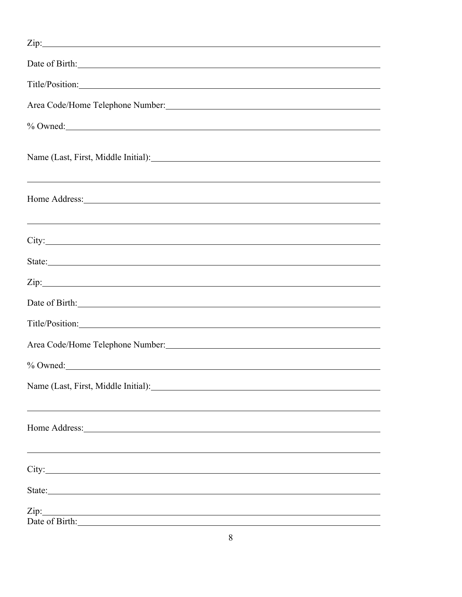| Date of Birth: 1988                                                                                                                                                                                                                                                                                                                                      |
|----------------------------------------------------------------------------------------------------------------------------------------------------------------------------------------------------------------------------------------------------------------------------------------------------------------------------------------------------------|
| Title/Position:                                                                                                                                                                                                                                                                                                                                          |
| Area Code/Home Telephone Number: Manual Area Code/Home Telephone Number:                                                                                                                                                                                                                                                                                 |
| % Owned:                                                                                                                                                                                                                                                                                                                                                 |
| Name (Last, First, Middle Initial): Name (Last, First, Middle Initial):                                                                                                                                                                                                                                                                                  |
| <u> 1989 - Andrea Santana, amerikana amerikana amerikana amerikana amerikana amerikana amerikana amerikana amerika</u><br>Home Address: New York Changes and The Address Changes and The Address Changes and The Address Changes and The Address Changes and The Address Changes and The Address Changes and The Address Changes and The Address Changes |
|                                                                                                                                                                                                                                                                                                                                                          |
|                                                                                                                                                                                                                                                                                                                                                          |
| $\chi$ ip:                                                                                                                                                                                                                                                                                                                                               |
| Date of Birth: No. 2014                                                                                                                                                                                                                                                                                                                                  |
|                                                                                                                                                                                                                                                                                                                                                          |
| Area Code/Home Telephone Number: Number 2008                                                                                                                                                                                                                                                                                                             |
| % Owned:                                                                                                                                                                                                                                                                                                                                                 |
| Name (Last, First, Middle Initial): Name (Last, First, Middle Initial):                                                                                                                                                                                                                                                                                  |
| Home Address: No. 1996. The Contract of the Address of the Address of the Address of the Address of the Address of the Address of the Address of the Address of the Address of the Address of the Address of the Address of th                                                                                                                           |
|                                                                                                                                                                                                                                                                                                                                                          |
|                                                                                                                                                                                                                                                                                                                                                          |
| Date of Birth: 2008                                                                                                                                                                                                                                                                                                                                      |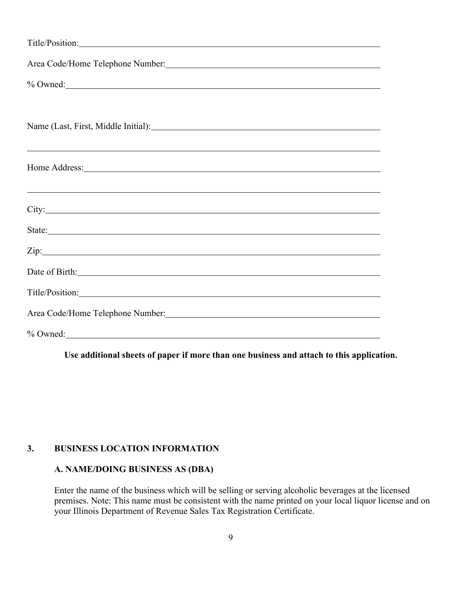| Title/Position:                                                                                                                                                                                                                |
|--------------------------------------------------------------------------------------------------------------------------------------------------------------------------------------------------------------------------------|
|                                                                                                                                                                                                                                |
| $\%$ Owned:                                                                                                                                                                                                                    |
|                                                                                                                                                                                                                                |
| Name (Last, First, Middle Initial):                                                                                                                                                                                            |
|                                                                                                                                                                                                                                |
| Home Address: No. 2016. The Manual Contract of the Manual Contract of the Manual Contract of the Manual Contract of the Manual Contract of the Manual Contract of the Manual Contract of the Manual Contract of the Manual Con |
| <u> 2000 - Andrea Andrewski, marski politik (d. 1888)</u>                                                                                                                                                                      |
|                                                                                                                                                                                                                                |
| State:                                                                                                                                                                                                                         |
|                                                                                                                                                                                                                                |
| Date of Birth: No. 1996. The Second State of Birth:                                                                                                                                                                            |
|                                                                                                                                                                                                                                |
| Area Code/Home Telephone Number: Manual Manual Manual Manual Manual Manual Manual Manual Manual Manual Manual                                                                                                                  |
| $%$ Owned:                                                                                                                                                                                                                     |

**Use additional sheets of paper if more than one business and attach to this application.** 

#### **3. BUSINESS LOCATION INFORMATION**

## **A. NAME/DOING BUSINESS AS (DBA)**

Enter the name of the business which will be selling or serving alcoholic beverages at the licensed premises. Note: This name must be consistent with the name printed on your local liquor license and on your Illinois Department of Revenue Sales Tax Registration Certificate.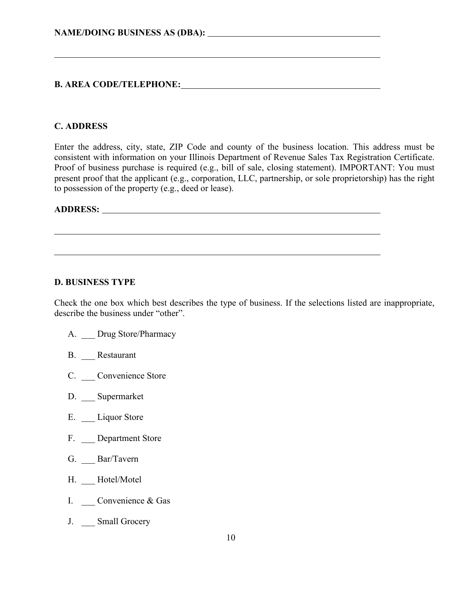# **B. AREA CODE/TELEPHONE:**

### **C. ADDRESS**

 $\overline{a}$ 

Enter the address, city, state, ZIP Code and county of the business location. This address must be consistent with information on your Illinois Department of Revenue Sales Tax Registration Certificate. Proof of business purchase is required (e.g., bill of sale, closing statement). IMPORTANT: You must present proof that the applicant (e.g., corporation, LLC, partnership, or sole proprietorship) has the right to possession of the property (e.g., deed or lease).

# **ADDRESS:**

 $\overline{a}$ 

#### **D. BUSINESS TYPE**

Check the one box which best describes the type of business. If the selections listed are inappropriate, describe the business under "other".

- A. Drug Store/Pharmacy
- B. Restaurant
- C. \_\_\_ Convenience Store
- D. Supermarket
- E. Liquor Store
- F. Department Store
- G. Bar/Tavern
- H. Hotel/Motel
- I. Convenience & Gas
- J. Small Grocery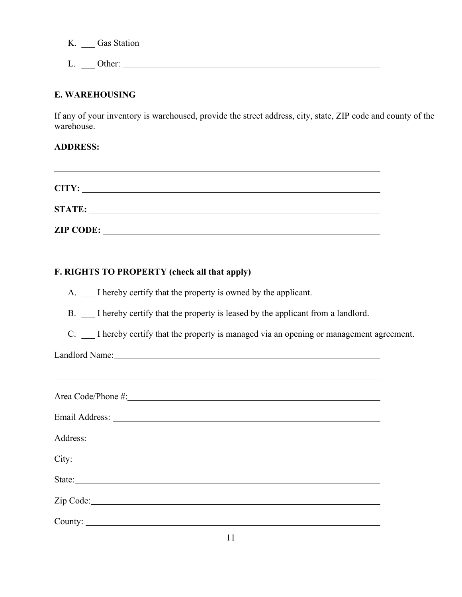K. \_\_\_ Gas Station

L. \_\_\_ Other:

## **E. WAREHOUSING**

If any of your inventory is warehoused, provide the street address, city, state, ZIP code and county of the warehouse.

| CITY:            |                                                    |  |  |
|------------------|----------------------------------------------------|--|--|
|                  |                                                    |  |  |
| <b>ZIP CODE:</b> | <u> 1989 - John Stein, Amerikaansk politiker (</u> |  |  |

## **F. RIGHTS TO PROPERTY (check all that apply)**

A.  $\Box$  I hereby certify that the property is owned by the applicant.

B. I hereby certify that the property is leased by the applicant from a landlord.

C. \_\_\_ I hereby certify that the property is managed via an opening or management agreement.

Landlord Name:

 $\overline{a}$ 

| City:                                                                                                           |
|-----------------------------------------------------------------------------------------------------------------|
| State: State:                                                                                                   |
| Zip Code: New York: New York: New York: New York: New York: New York: New York: New York: New York: New York: N |
|                                                                                                                 |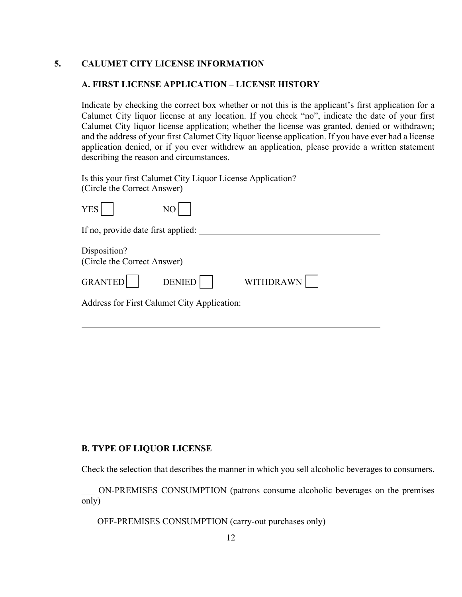## **5. CALUMET CITY LICENSE INFORMATION**

#### **A. FIRST LICENSE APPLICATION – LICENSE HISTORY**

Indicate by checking the correct box whether or not this is the applicant's first application for a Calumet City liquor license at any location. If you check "no", indicate the date of your first Calumet City liquor license application; whether the license was granted, denied or withdrawn; and the address of your first Calumet City liquor license application. If you have ever had a license application denied, or if you ever withdrew an application, please provide a written statement describing the reason and circumstances.

Is this your first Calumet City Liquor License Application? (Circle the Correct Answer)

| <b>YES</b>                                  | NO                                          |           |  |
|---------------------------------------------|---------------------------------------------|-----------|--|
| If no, provide date first applied:          |                                             |           |  |
| Disposition?<br>(Circle the Correct Answer) |                                             |           |  |
| GRANTED                                     | <b>DENIED</b>                               | WITHDRAWN |  |
|                                             | Address for First Calumet City Application: |           |  |
|                                             |                                             |           |  |

### **B. TYPE OF LIQUOR LICENSE**

Check the selection that describes the manner in which you sell alcoholic beverages to consumers.

\_\_\_ ON-PREMISES CONSUMPTION (patrons consume alcoholic beverages on the premises only)

OFF-PREMISES CONSUMPTION (carry-out purchases only)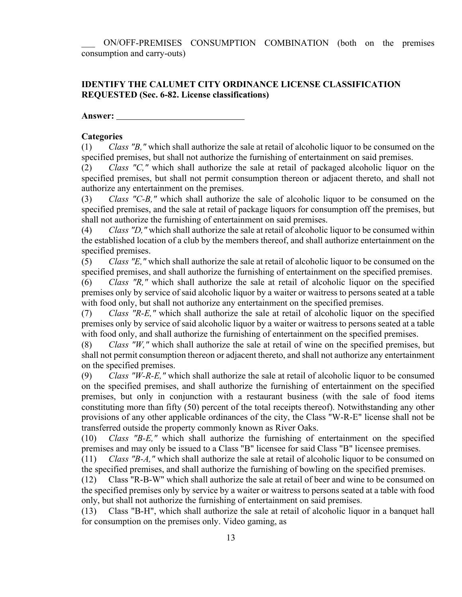\_\_\_ ON/OFF-PREMISES CONSUMPTION COMBINATION (both on the premises consumption and carry-outs)

#### **IDENTIFY THE CALUMET CITY ORDINANCE LICENSE CLASSIFICATION REQUESTED (Sec. 6-82. License classifications)**

**Answer:** 

#### **Categories**

(1) *Class "B,"* which shall authorize the sale at retail of alcoholic liquor to be consumed on the specified premises, but shall not authorize the furnishing of entertainment on said premises.

(2) *Class "C,"* which shall authorize the sale at retail of packaged alcoholic liquor on the specified premises, but shall not permit consumption thereon or adjacent thereto, and shall not authorize any entertainment on the premises.

(3) *Class "C-B,"* which shall authorize the sale of alcoholic liquor to be consumed on the specified premises, and the sale at retail of package liquors for consumption off the premises, but shall not authorize the furnishing of entertainment on said premises.

(4) *Class "D,"* which shall authorize the sale at retail of alcoholic liquor to be consumed within the established location of a club by the members thereof, and shall authorize entertainment on the specified premises.

(5) *Class "E,"* which shall authorize the sale at retail of alcoholic liquor to be consumed on the specified premises, and shall authorize the furnishing of entertainment on the specified premises.

(6) *Class "R,"* which shall authorize the sale at retail of alcoholic liquor on the specified premises only by service of said alcoholic liquor by a waiter or waitress to persons seated at a table with food only, but shall not authorize any entertainment on the specified premises.

(7) *Class "R-E,"* which shall authorize the sale at retail of alcoholic liquor on the specified premises only by service of said alcoholic liquor by a waiter or waitress to persons seated at a table with food only, and shall authorize the furnishing of entertainment on the specified premises.

(8) *Class "W,"* which shall authorize the sale at retail of wine on the specified premises, but shall not permit consumption thereon or adjacent thereto, and shall not authorize any entertainment on the specified premises.

(9) *Class "W-R-E,"* which shall authorize the sale at retail of alcoholic liquor to be consumed on the specified premises, and shall authorize the furnishing of entertainment on the specified premises, but only in conjunction with a restaurant business (with the sale of food items constituting more than fifty (50) percent of the total receipts thereof). Notwithstanding any other provisions of any other applicable ordinances of the city, the Class "W-R-E" license shall not be transferred outside the property commonly known as River Oaks.

(10) *Class "B-E,"* which shall authorize the furnishing of entertainment on the specified premises and may only be issued to a Class "B" licensee for said Class "B" licensee premises.

(11) *Class "B-A,"* which shall authorize the sale at retail of alcoholic liquor to be consumed on the specified premises, and shall authorize the furnishing of bowling on the specified premises.

(12) Class "R-B-W" which shall authorize the sale at retail of beer and wine to be consumed on the specified premises only by service by a waiter or waitress to persons seated at a table with food only, but shall not authorize the furnishing of entertainment on said premises.

(13) Class "B-H", which shall authorize the sale at retail of alcoholic liquor in a banquet hall for consumption on the premises only. Video gaming, as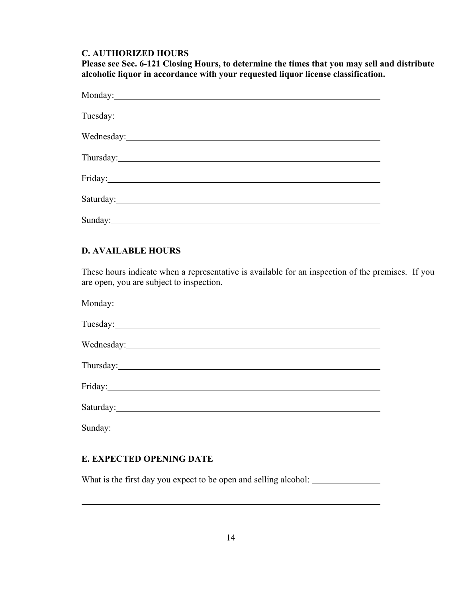#### **C. AUTHORIZED HOURS**

**Please see Sec. 6-121 Closing Hours, to determine the times that you may sell and distribute alcoholic liquor in accordance with your requested liquor license classification.** 

| Saturday: Saturday: Saturday: Saturday: Saturday: Saturday: Saturday: Saturday: Saturday: Saturday: Saturday: Saturday: Saturday: Saturday: Saturday: Saturday: Saturday: Saturday: Saturday: Saturday: Saturday: Saturday: Sa |
|--------------------------------------------------------------------------------------------------------------------------------------------------------------------------------------------------------------------------------|
|                                                                                                                                                                                                                                |

## **D. AVAILABLE HOURS**

These hours indicate when a representative is available for an inspection of the premises. If you are open, you are subject to inspection.

| Saturday: Samman Communication of the Communication of the Communication of the Communication of the Communication of the Communication of the Communication of the Communication of the Communication of the Communication of |  |
|--------------------------------------------------------------------------------------------------------------------------------------------------------------------------------------------------------------------------------|--|
|                                                                                                                                                                                                                                |  |

#### **E. EXPECTED OPENING DATE**

 $\overline{a}$ 

What is the first day you expect to be open and selling alcohol: \_\_\_\_\_\_\_\_\_\_\_\_\_\_\_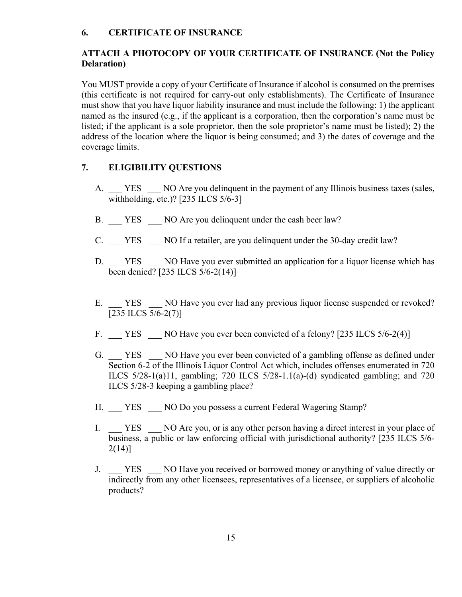#### **6. CERTIFICATE OF INSURANCE**

### **ATTACH A PHOTOCOPY OF YOUR CERTIFICATE OF INSURANCE (Not the Policy Delaration)**

You MUST provide a copy of your Certificate of Insurance if alcohol is consumed on the premises (this certificate is not required for carry-out only establishments). The Certificate of Insurance must show that you have liquor liability insurance and must include the following: 1) the applicant named as the insured (e.g., if the applicant is a corporation, then the corporation's name must be listed; if the applicant is a sole proprietor, then the sole proprietor's name must be listed); 2) the address of the location where the liquor is being consumed; and 3) the dates of coverage and the coverage limits.

#### **7. ELIGIBILITY QUESTIONS**

- A. YES NO Are you delinquent in the payment of any Illinois business taxes (sales, withholding, etc.)? [235 ILCS 5/6-3]
- B. YES NO Are you delinquent under the cash beer law?
- C. YES NO If a retailer, are you delinquent under the 30-day credit law?
- D. YES NO Have you ever submitted an application for a liquor license which has been denied? [235 ILCS 5/6-2(14)]
- E. YES NO Have you ever had any previous liquor license suspended or revoked? [235 ILCS 5/6-2(7)]
- F. YES NO Have you ever been convicted of a felony? [235 ILCS 5/6-2(4)]
- G. YES NO Have you ever been convicted of a gambling offense as defined under Section 6-2 of the Illinois Liquor Control Act which, includes offenses enumerated in 720 ILCS 5/28-1(a)11, gambling; 720 ILCS 5/28-1.1(a)-(d) syndicated gambling; and 720 ILCS 5/28-3 keeping a gambling place?
- H. YES NO Do you possess a current Federal Wagering Stamp?
- I. YES NO Are you, or is any other person having a direct interest in your place of business, a public or law enforcing official with jurisdictional authority? [235 ILCS 5/6- 2(14)]
- J. YES NO Have you received or borrowed money or anything of value directly or indirectly from any other licensees, representatives of a licensee, or suppliers of alcoholic products?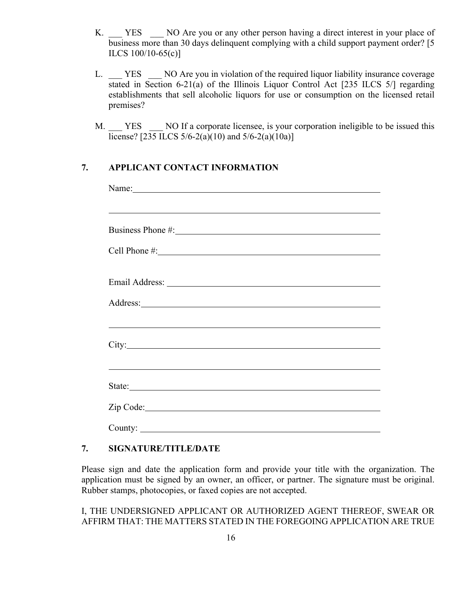- K. YES NO Are you or any other person having a direct interest in your place of business more than 30 days delinquent complying with a child support payment order? [5 ILCS 100/10-65(c)]
- L. YES NO Are you in violation of the required liquor liability insurance coverage stated in Section 6-21(a) of the Illinois Liquor Control Act [235 ILCS 5/] regarding establishments that sell alcoholic liquors for use or consumption on the licensed retail premises?
- M. YES NO If a corporate licensee, is your corporation ineligible to be issued this license? [235 ILCS  $5/6-2(a)(10)$  and  $5/6-2(a)(10a)$ ]

## **7. APPLICANT CONTACT INFORMATION**

| Name: Name and the set of the set of the set of the set of the set of the set of the set of the set of the set of the set of the set of the set of the set of the set of the set of the set of the set of the set of the set o      |
|-------------------------------------------------------------------------------------------------------------------------------------------------------------------------------------------------------------------------------------|
| ,我们也不会有什么。""我们的人,我们也不会有什么?""我们的人,我们也不会有什么?""我们的人,我们也不会有什么?""我们的人,我们也不会有什么?""我们的人                                                                                                                                                    |
|                                                                                                                                                                                                                                     |
|                                                                                                                                                                                                                                     |
|                                                                                                                                                                                                                                     |
|                                                                                                                                                                                                                                     |
| Address: <u>Address:</u> Address: Address: Address: Address: Address: Address: Address: Address: Address: Address: Address: Address: Address: Address: Address: Address: Address: Address: Address: Address: Address: Address: Addr |
|                                                                                                                                                                                                                                     |
|                                                                                                                                                                                                                                     |
|                                                                                                                                                                                                                                     |
|                                                                                                                                                                                                                                     |
| Zip Code:                                                                                                                                                                                                                           |
| County:                                                                                                                                                                                                                             |

### **7. SIGNATURE/TITLE/DATE**

Please sign and date the application form and provide your title with the organization. The application must be signed by an owner, an officer, or partner. The signature must be original. Rubber stamps, photocopies, or faxed copies are not accepted.

I, THE UNDERSIGNED APPLICANT OR AUTHORIZED AGENT THEREOF, SWEAR OR AFFIRM THAT: THE MATTERS STATED IN THE FOREGOING APPLICATION ARE TRUE